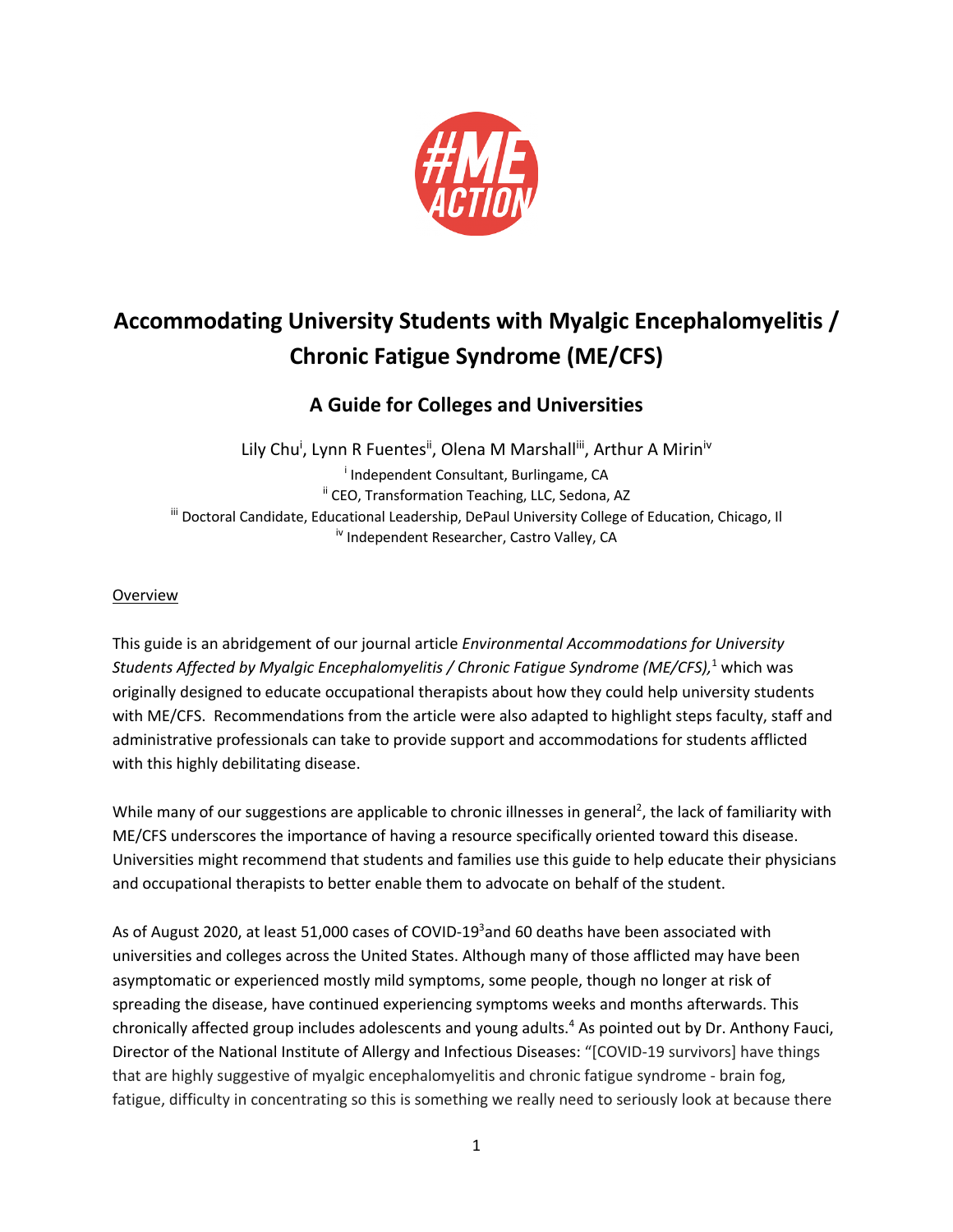

# **Accommodating University Students with Myalgic Encephalomyelitis / Chronic Fatigue Syndrome (ME/CFS)**

# **A Guide for Colleges and Universities**

Lily Chu<sup>i</sup>, Lynn R Fuentes<sup>ii</sup>, Olena M Marshall<sup>iii</sup>, Arthur A Mirin<sup>iv</sup> i Independent Consultant, Burlingame, CA <sup>ii</sup> CEO, Transformation Teaching, LLC, Sedona, AZ iii Doctoral Candidate, Educational Leadership, DePaul University College of Education, Chicago, Il iv Independent Researcher, Castro Valley, CA

## Overview

This guide is an abridgement of our journal article *Environmental Accommodations for University Students Affected by Myalgic Encephalomyelitis / Chronic Fatigue Syndrome (ME/CFS),*<sup>1</sup> which was originally designed to educate occupational therapists about how they could help university students with ME/CFS. Recommendations from the article were also adapted to highlight steps faculty, staff and administrative professionals can take to provide support and accommodations for students afflicted with this highly debilitating disease.

While many of our suggestions are applicable to chronic illnesses in general<sup>2</sup>, the lack of familiarity with ME/CFS underscores the importance of having a resource specifically oriented toward this disease. Universities might recommend that students and families use this guide to help educate their physicians and occupational therapists to better enable them to advocate on behalf of the student.

As of August 2020, at least 51,000 cases of COVID-19<sup>3</sup>and 60 deaths have been associated with universities and colleges across the United States. Although many of those afflicted may have been asymptomatic or experienced mostly mild symptoms, some people, though no longer at risk of spreading the disease, have continued experiencing symptoms weeks and months afterwards. This chronically affected group includes adolescents and young adults.<sup>4</sup> As pointed out by Dr. Anthony Fauci, Director of the National Institute of Allergy and Infectious Diseases: "[COVID-19 survivors] have things that are highly suggestive of myalgic encephalomyelitis and chronic fatigue syndrome - brain fog, fatigue, difficulty in concentrating so this is something we really need to seriously look at because there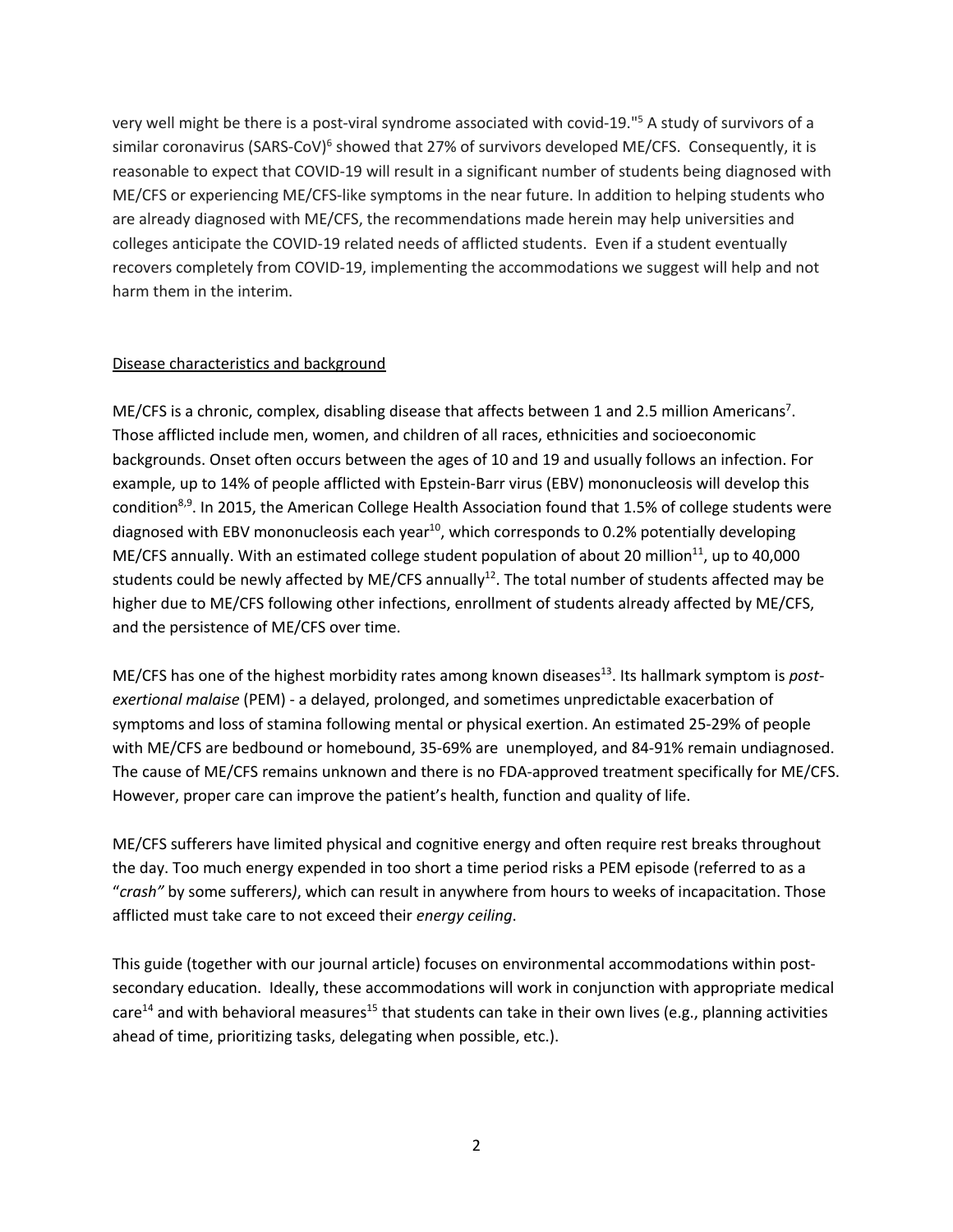very well might be there is a post-viral syndrome associated with covid-19."5 A study of survivors of a similar coronavirus (SARS-CoV)<sup>6</sup> showed that 27% of survivors developed ME/CFS. Consequently, it is reasonable to expect that COVID-19 will result in a significant number of students being diagnosed with ME/CFS or experiencing ME/CFS-like symptoms in the near future. In addition to helping students who are already diagnosed with ME/CFS, the recommendations made herein may help universities and colleges anticipate the COVID-19 related needs of afflicted students. Even if a student eventually recovers completely from COVID-19, implementing the accommodations we suggest will help and not harm them in the interim.

#### Disease characteristics and background

ME/CFS is a chronic, complex, disabling disease that affects between 1 and 2.5 million Americans<sup>7</sup>. Those afflicted include men, women, and children of all races, ethnicities and socioeconomic backgrounds. Onset often occurs between the ages of 10 and 19 and usually follows an infection. For example, up to 14% of people afflicted with Epstein-Barr virus (EBV) mononucleosis will develop this condition<sup>8,9</sup>. In 2015, the American College Health Association found that 1.5% of college students were diagnosed with EBV mononucleosis each year<sup>10</sup>, which corresponds to 0.2% potentially developing ME/CFS annually. With an estimated college student population of about 20 million<sup>11</sup>, up to 40,000 students could be newly affected by ME/CFS annually<sup>12</sup>. The total number of students affected may be higher due to ME/CFS following other infections, enrollment of students already affected by ME/CFS, and the persistence of ME/CFS over time.

ME/CFS has one of the highest morbidity rates among known diseases<sup>13</sup>. Its hallmark symptom is *postexertional malaise* (PEM) - a delayed, prolonged, and sometimes unpredictable exacerbation of symptoms and loss of stamina following mental or physical exertion. An estimated 25-29% of people with ME/CFS are bedbound or homebound, 35-69% are unemployed, and 84-91% remain undiagnosed. The cause of ME/CFS remains unknown and there is no FDA-approved treatment specifically for ME/CFS. However, proper care can improve the patient's health, function and quality of life.

ME/CFS sufferers have limited physical and cognitive energy and often require rest breaks throughout the day. Too much energy expended in too short a time period risks a PEM episode (referred to as a "*crash"* by some sufferers*)*, which can result in anywhere from hours to weeks of incapacitation. Those afflicted must take care to not exceed their *energy ceiling*.

This guide (together with our journal article) focuses on environmental accommodations within postsecondary education. Ideally, these accommodations will work in conjunction with appropriate medical care<sup>14</sup> and with behavioral measures<sup>15</sup> that students can take in their own lives (e.g., planning activities ahead of time, prioritizing tasks, delegating when possible, etc.).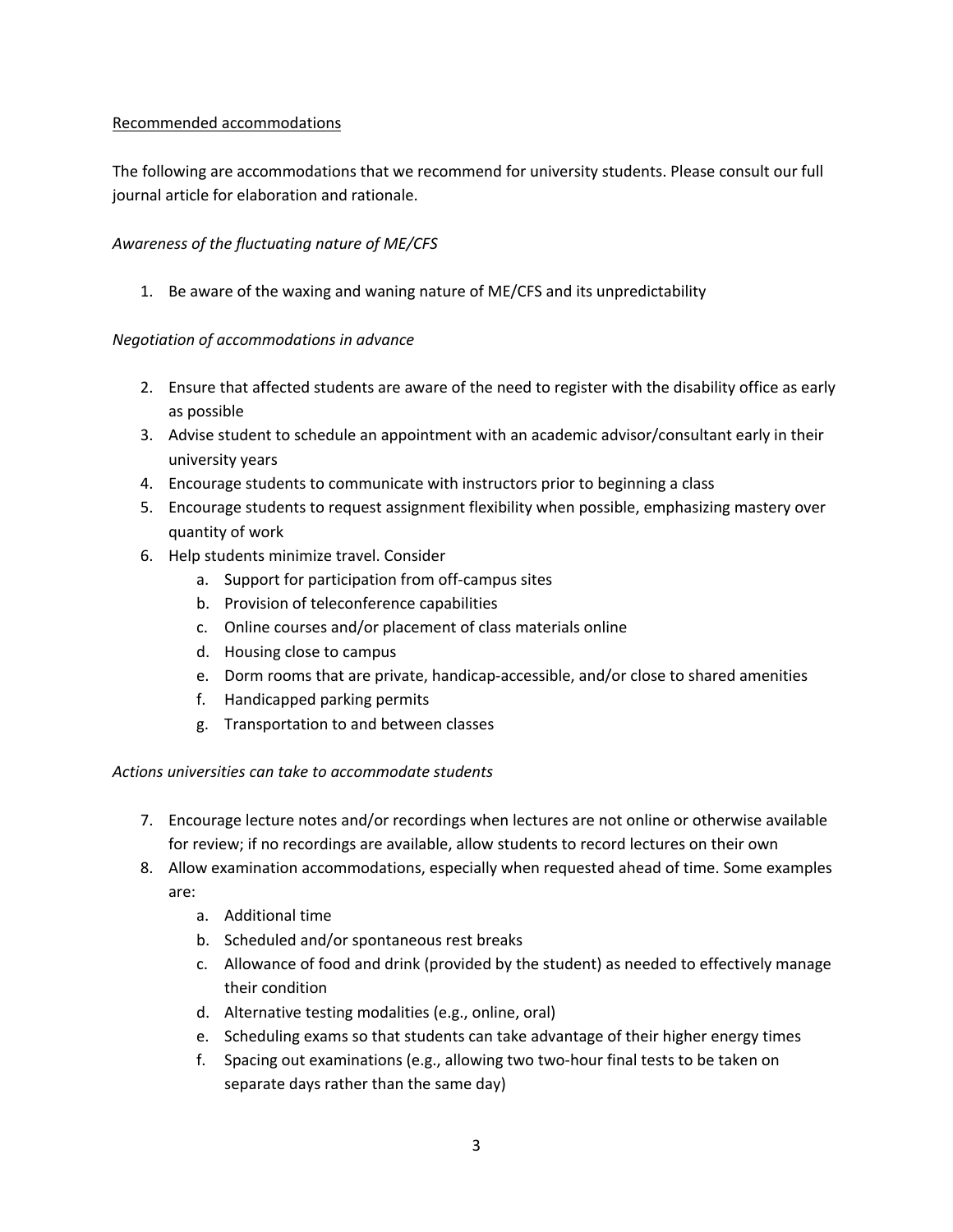#### Recommended accommodations

The following are accommodations that we recommend for university students. Please consult our full journal article for elaboration and rationale.

#### *Awareness of the fluctuating nature of ME/CFS*

1. Be aware of the waxing and waning nature of ME/CFS and its unpredictability

#### *Negotiation of accommodations in advance*

- 2. Ensure that affected students are aware of the need to register with the disability office as early as possible
- 3. Advise student to schedule an appointment with an academic advisor/consultant early in their university years
- 4. Encourage students to communicate with instructors prior to beginning a class
- 5. Encourage students to request assignment flexibility when possible, emphasizing mastery over quantity of work
- 6. Help students minimize travel. Consider
	- a. Support for participation from off-campus sites
	- b. Provision of teleconference capabilities
	- c. Online courses and/or placement of class materials online
	- d. Housing close to campus
	- e. Dorm rooms that are private, handicap-accessible, and/or close to shared amenities
	- f. Handicapped parking permits
	- g. Transportation to and between classes

#### *Actions universities can take to accommodate students*

- 7. Encourage lecture notes and/or recordings when lectures are not online or otherwise available for review; if no recordings are available, allow students to record lectures on their own
- 8. Allow examination accommodations, especially when requested ahead of time. Some examples are:
	- a. Additional time
	- b. Scheduled and/or spontaneous rest breaks
	- c. Allowance of food and drink (provided by the student) as needed to effectively manage their condition
	- d. Alternative testing modalities (e.g., online, oral)
	- e. Scheduling exams so that students can take advantage of their higher energy times
	- f. Spacing out examinations (e.g., allowing two two-hour final tests to be taken on separate days rather than the same day)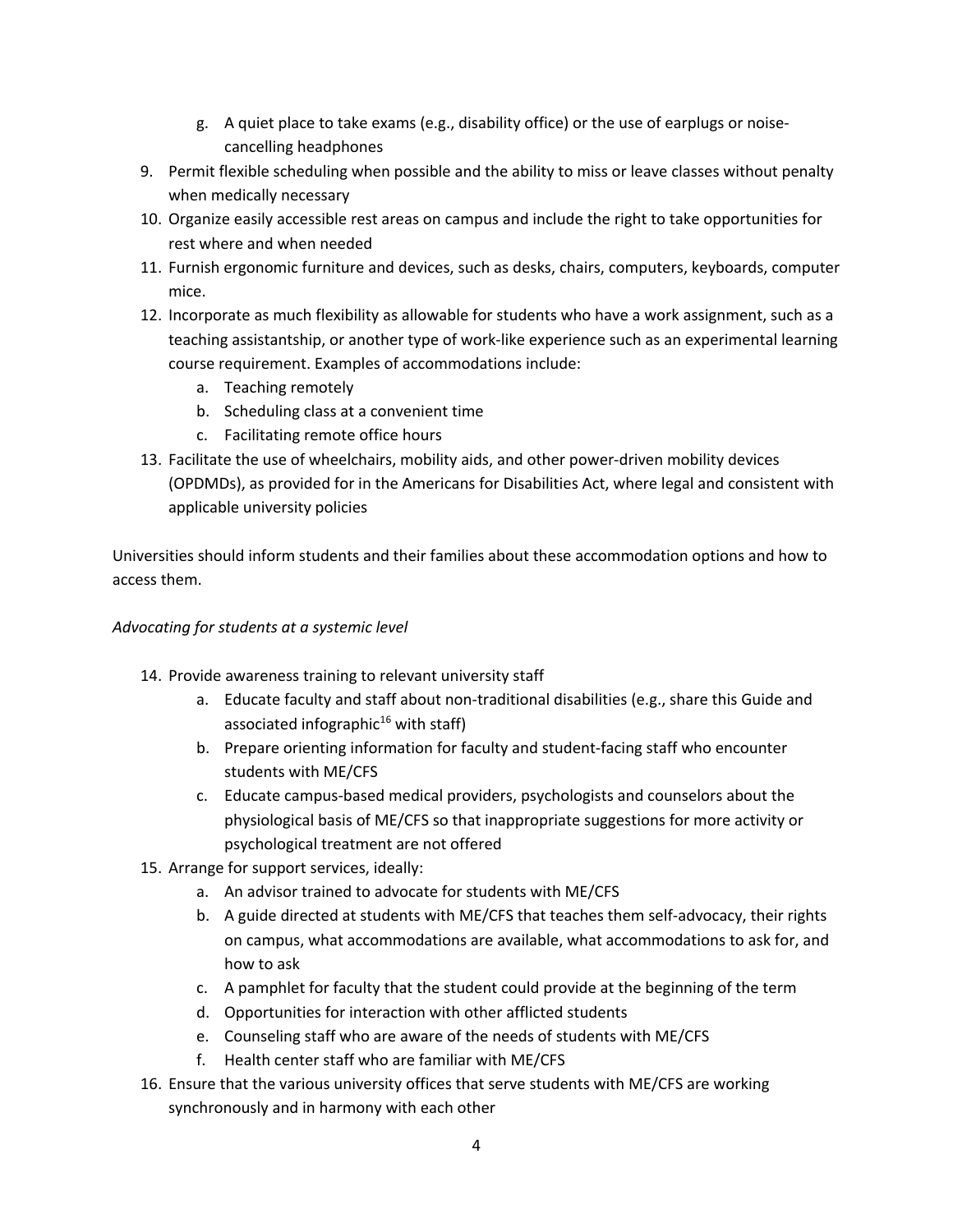- g. A quiet place to take exams (e.g., disability office) or the use of earplugs or noisecancelling headphones
- 9. Permit flexible scheduling when possible and the ability to miss or leave classes without penalty when medically necessary
- 10. Organize easily accessible rest areas on campus and include the right to take opportunities for rest where and when needed
- 11. Furnish ergonomic furniture and devices, such as desks, chairs, computers, keyboards, computer mice.
- 12. Incorporate as much flexibility as allowable for students who have a work assignment, such as a teaching assistantship, or another type of work-like experience such as an experimental learning course requirement. Examples of accommodations include:
	- a. Teaching remotely
	- b. Scheduling class at a convenient time
	- c. Facilitating remote office hours
- 13. Facilitate the use of wheelchairs, mobility aids, and other power-driven mobility devices (OPDMDs), as provided for in the Americans for Disabilities Act, where legal and consistent with applicable university policies

Universities should inform students and their families about these accommodation options and how to access them.

### *Advocating for students at a systemic level*

- 14. Provide awareness training to relevant university staff
	- a. Educate faculty and staff about non-traditional disabilities (e.g., share this Guide and associated infographic<sup>16</sup> with staff)
	- b. Prepare orienting information for faculty and student-facing staff who encounter students with ME/CFS
	- c. Educate campus-based medical providers, psychologists and counselors about the physiological basis of ME/CFS so that inappropriate suggestions for more activity or psychological treatment are not offered
- 15. Arrange for support services, ideally:
	- a. An advisor trained to advocate for students with ME/CFS
	- b. A guide directed at students with ME/CFS that teaches them self-advocacy, their rights on campus, what accommodations are available, what accommodations to ask for, and how to ask
	- c. A pamphlet for faculty that the student could provide at the beginning of the term
	- d. Opportunities for interaction with other afflicted students
	- e. Counseling staff who are aware of the needs of students with ME/CFS
	- f. Health center staff who are familiar with ME/CFS
- 16. Ensure that the various university offices that serve students with ME/CFS are working synchronously and in harmony with each other